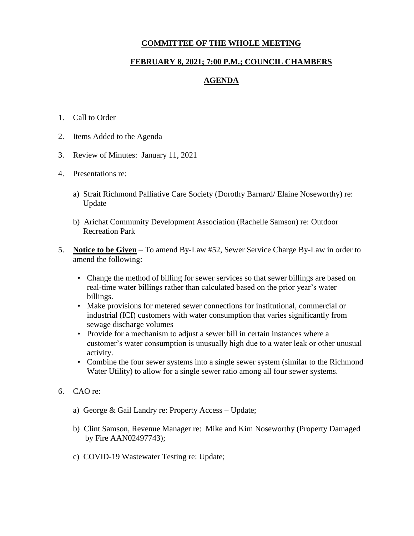## **COMMITTEE OF THE WHOLE MEETING**

## **FEBRUARY 8, 2021; 7:00 P.M.; COUNCIL CHAMBERS**

## **AGENDA**

- 1. Call to Order
- 2. Items Added to the Agenda
- 3. Review of Minutes: January 11, 2021
- 4. Presentations re:
	- a) Strait Richmond Palliative Care Society (Dorothy Barnard/ Elaine Noseworthy) re: Update
	- b) Arichat Community Development Association (Rachelle Samson) re: Outdoor Recreation Park
- 5. **Notice to be Given** To amend By-Law #52, Sewer Service Charge By-Law in order to amend the following:
	- Change the method of billing for sewer services so that sewer billings are based on real-time water billings rather than calculated based on the prior year's water billings.
	- Make provisions for metered sewer connections for institutional, commercial or industrial (ICI) customers with water consumption that varies significantly from sewage discharge volumes
	- Provide for a mechanism to adjust a sewer bill in certain instances where a customer's water consumption is unusually high due to a water leak or other unusual activity.
	- Combine the four sewer systems into a single sewer system (similar to the Richmond Water Utility) to allow for a single sewer ratio among all four sewer systems.
- 6. CAO re:
	- a) George & Gail Landry re: Property Access Update;
	- b) Clint Samson, Revenue Manager re: Mike and Kim Noseworthy (Property Damaged by Fire AAN02497743);
	- c) COVID-19 Wastewater Testing re: Update;